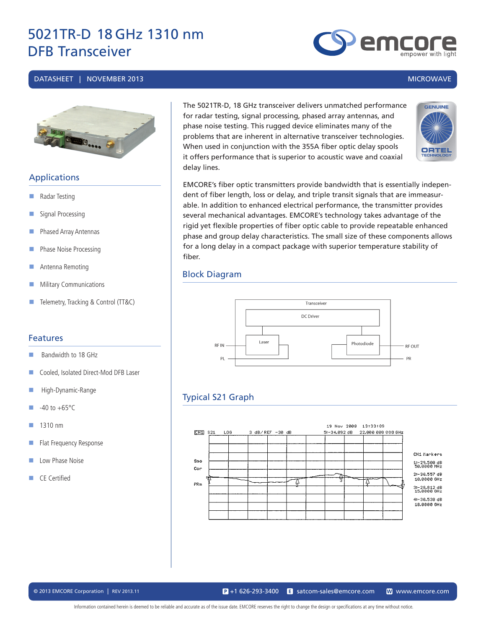#### DATASHEET | NOVEMBER 2013 MICROWAVE



# Applications

- **Radar Testing**
- Signal Processing
- **Phased Array Antennas**
- **Phase Noise Processing**
- **Antenna Remoting**
- **Military Communications**
- Telemetry, Tracking & Control (TT&C)

#### Features

- Bandwidth to 18 GHz
- Cooled, Isolated Direct-Mod DFB Laser
- **High-Dynamic-Range**
- $-40$  to  $+65^{\circ}$ C
- $1310 \text{ nm}$
- **Flat Frequency Response**
- Low Phase Noise
- CE Certified

The 5021TR-D, 18 GHz transceiver delivers unmatched performance for radar testing, signal processing, phased array antennas, and phase noise testing. This rugged device eliminates many of the problems that are inherent in alternative transceiver technologies. When used in conjunction with the 355A fiber optic delay spools it offers performance that is superior to acoustic wave and coaxial delay lines.



EMCORE's fiber optic transmitters provide bandwidth that is essentially independent of fiber length, loss or delay, and triple transit signals that are immeasurable. In addition to enhanced electrical performance, the transmitter provides several mechanical advantages. EMCORE's technology takes advantage of the rigid yet flexible properties of fiber optic cable to provide repeatable enhanced phase and group delay characteristics. The small size of these components allows for a long delay in a compact package with superior temperature stability of fiber.

#### Block Diagram



# Typical S21 Graph



© 2013 EMCORE Corporation | REV 2013.11 satcom-sales@emcore.com WWW.emcore.com www.emcore.com  $\mathbf{P}_{1}$  +1 626-293-3400

Information contained herein is deemed to be reliable and accurate as of the issue date. EMCORE reserves the right to change the design or specifications at any time without notice.

emc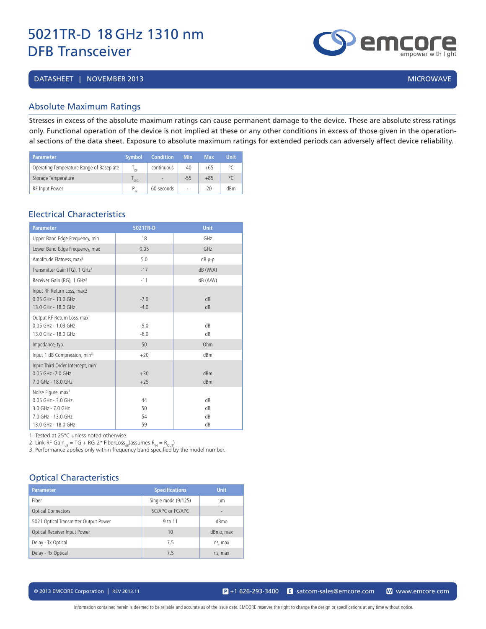DATASHEET | NOVEMBER 2013 | MICROWAVE | 2009 | MICROWAVE | 2009 | MICROWAVE | 2009 | MICROWAVE

## Absolute Maximum Ratings

Stresses in excess of the absolute maximum ratings can cause permanent damage to the device. These are absolute stress ratings only. Functional operation of the device is not implied at these or any other conditions in excess of those given in the operational sections of the data sheet. Exposure to absolute maximum ratings for extended periods can adversely affect device reliability.

| <b>Parameter</b>                         | <b>Symbol</b>   | <b>Condition</b>         | <b>Min</b> | Max   | <b>Unit</b> |
|------------------------------------------|-----------------|--------------------------|------------|-------|-------------|
| Operating Temperature Range of Baseplate | י∩ <sup>ו</sup> | continuous               | $-40$      | $+65$ | $\circ$     |
| Storage Temperature                      | STG             | $\overline{\phantom{a}}$ | $-55$      | $+85$ | $^{\circ}$  |
| <b>RF</b> Input Power                    | IN              | 60 seconds               | ٠          | 20    | dBm         |

# Electrical Characteristics

| 5021TR-D         | <b>Unit</b>            |
|------------------|------------------------|
| 18               | GHz                    |
| 0.05             | GHz                    |
| 5.0              | $dB$ p-p               |
| $-17$            | $dB$ (W/A)             |
| $-11$            | dB (A/W)               |
| $-7.0$<br>$-4.0$ | dB<br>dB               |
| $-9.0$<br>$-6.0$ | dB<br>dB               |
| 50               | Ohm                    |
| $+20$            | dBm                    |
| $+30$<br>$+25$   | dBm<br>dB <sub>m</sub> |
| 44<br>50<br>54   | dB<br>dB<br>dB<br>dB   |
|                  | 59                     |

1. Tested at 25°C unless noted otherwise.

2. Link RF Gain<sub>dB</sub> = TG + RG-2\* FiberLoss<sub>dB</sub>(assumes  $R_{IN} = R_{OUT}$ )

3. Performance applies only within frequency band specified by the model number.

# Optical Characteristics

| <b>Parameter</b>                      | <b>Specifications</b> | <b>Unit</b> |
|---------------------------------------|-----------------------|-------------|
| Fiber                                 | Single mode (9/125)   | μm          |
| <b>Optical Connectors</b>             | SC/APC or FC/APC      | ٠           |
| 5021 Optical Transmitter Output Power | 9 to 11               | dBmo        |
| Optical Receiver Input Power          | 10                    | dBmo, max   |
| Delay - Tx Optical                    | 75                    | ns, max     |
| Delay - Rx Optical                    | 7.5                   | ns, max     |

© 2013 EMCORE Corporation | REV 2013.11 satcom-sales@emcore.com and www.emcore.com www.emcore.com www.emcore.com



emc empower with ligh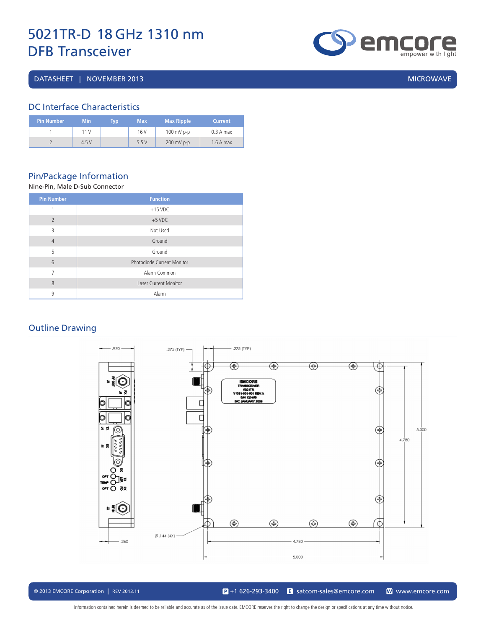DATASHEET | NOVEMBER 2013 | MICROWAVE | MICROWAVE | MICROWAVE | MICROWAVE | MICROWAVE



# DC Interface Characteristics

| Pin Number ' | <b>Min</b> | Typ | <b>Max</b> | <b>Max Ripple</b> | <b>Current</b> |
|--------------|------------|-----|------------|-------------------|----------------|
|              | 11 V       |     | 16 V       | $100$ mV p-p      | $0.3A$ max     |
|              | 4.5V       |     | 5.5V       | $200$ mV p-p      | $1.6A$ max     |

# Pin/Package Information

#### Nine-Pin, Male D-Sub Connector

| <b>Pin Number</b> | <b>Function</b>              |
|-------------------|------------------------------|
| 1                 | $+15$ VDC                    |
| $\overline{2}$    | $+5$ VDC                     |
| 3                 | Not Used                     |
| $\overline{4}$    | Ground                       |
| 5                 | Ground                       |
| $6\overline{6}$   | Photodiode Current Monitor   |
| 7                 | Alarm Common                 |
| 8                 | <b>Laser Current Monitor</b> |
| 9                 | Alarm                        |

## Outline Drawing